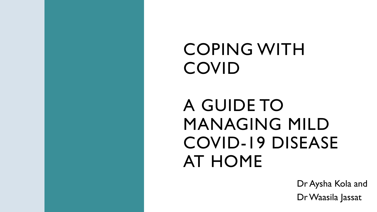# COPING WITH COVID

# A GUIDE TO MANAGING MILD COVID-19 DISEASE AT HOME

Dr Aysha Kola and Dr Waasila Jassat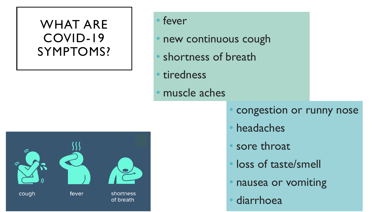#### WHAT ARE COVID-19 SYMPTOMS?

#### • fever

- new continuous cough
- shortness of breath
- tiredness
- muscle aches



- congestion or runny nose
- headaches
- sore throat
- loss of taste/smell
- nausea or vomiting
- **diarrhoea**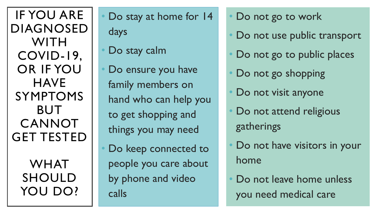IF YOU ARE DIAGNOSED WITH COVID-19, OR IF YOU **HAVE** SYMPTOMS BUT **CANNOT** GET TESTED

> WHAT SHOULD YOU DO?

Do stay at home for 14 days

- Do stay calm
- Do ensure you have family members on hand who can help you to get shopping and things you may need
- Do keep connected to people you care about by phone and video calls
- Do not go to work
- Do not use public transport
- Do not go to public places
- Do not go shopping
- Do not visit anyone
- Do not attend religious gatherings
- Do not have visitors in your home
- Do not leave home unless you need medical care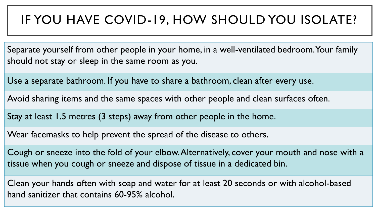#### IF YOU HAVE COVID-19, HOW SHOULD YOU ISOLATE?

Separate yourself from other people in your home, in a well-ventilated bedroom. Your family should not stay or sleep in the same room as you.

Use a separate bathroom. If you have to share a bathroom, clean after every use.

Avoid sharing items and the same spaces with other people and clean surfaces often.

Stay at least 1.5 metres (3 steps) away from other people in the home.

Wear facemasks to help prevent the spread of the disease to others.

Cough or sneeze into the fold of your elbow. Alternatively, cover your mouth and nose with a tissue when you cough or sneeze and dispose of tissue in a dedicated bin.

Clean your hands often with soap and water for at least 20 seconds or with alcohol-based hand sanitizer that contains 60-95% alcohol.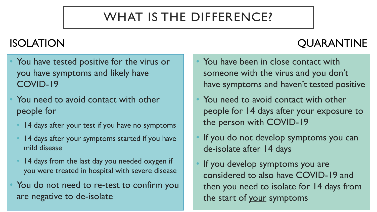## WHAT IS THE DIFFERENCE?

#### ISOLATION QUARANTINE

- You have tested positive for the virus or you have symptoms and likely have COVID-19
- You need to avoid contact with other people for
	- 14 days after your test if you have no symptoms
	- 14 days after your symptoms started if you have mild disease
	- 14 days from the last day you needed oxygen if you were treated in hospital with severe disease
- You do not need to re-test to confirm you are negative to de-isolate
- You have been in close contact with someone with the virus and you don't have symptoms and haven't tested positive
- You need to avoid contact with other people for 14 days after your exposure to the person with COVID-19
- If you do not develop symptoms you can de-isolate after 14 days
- If you develop symptoms you are considered to also have COVID-19 and then you need to isolate for 14 days from the start of your symptoms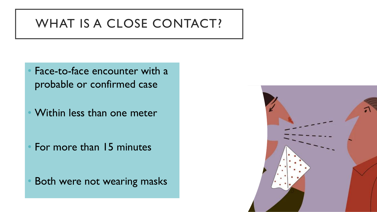#### WHAT IS A CLOSE CONTACT?

- Face-to-face encounter with a probable or confirmed case
- Within less than one meter

• For more than 15 minutes

Both were not wearing masks

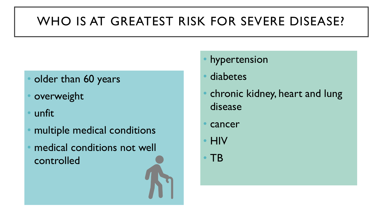## WHO IS AT GREATEST RISK FOR SEVERE DISEASE?

- older than 60 years
- **overweight**
- unfit
- multiple medical conditions
- medical conditions not well controlled
- hypertension
- diabetes
- chronic kidney, heart and lung disease
- cancer
- HIV
- TB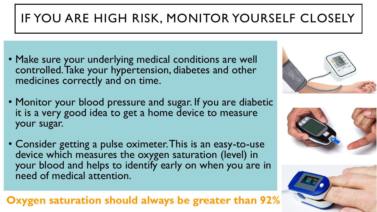# IF YOU ARE HIGH RISK, MONITOR YOURSELF CLOSELY

- Make sure your underlying medical conditions are well controlled. Take your hypertension, diabetes and other medicines correctly and on time.
- Monitor your blood pressure and sugar. If you are diabetic it is a very good idea to get a home device to measure your sugar.
- Consider getting a pulse oximeter. This is an easy-to-use device which measures the oxygen saturation (level) in your blood and helps to identify early on when you are in need of medical attention.

#### **Oxygen saturation should always be greater than 92%**





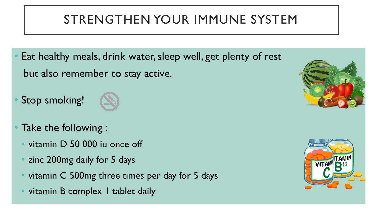#### STRENGTHEN YOUR IMMUNE SYSTEM

- Eat healthy meals, drink water, sleep well, get plenty of rest but also remember to stay active.
- Stop smoking!



- Take the following :
	- vitamin D 50 000 iu once off
	- zinc 200mg daily for 5 days
	- vitamin C 500mg three times per day for 5 days
	- vitamin B complex I tablet daily



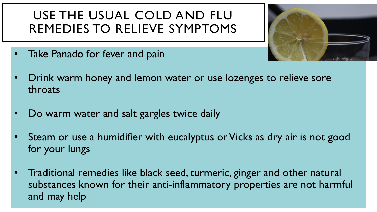#### USE THE USUAL COLD AND FLU REMEDIES TO RELIEVE SYMPTOMS



- Take Panado for fever and pain
- Drink warm honey and lemon water or use lozenges to relieve sore throats
- Do warm water and salt gargles twice daily
- Steam or use a humidifier with eucalyptus or Vicks as dry air is not good for your lungs
- Traditional remedies like black seed, turmeric, ginger and other natural substances known for their anti-inflammatory properties are not harmful and may help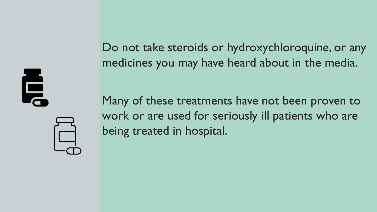Ę

Do not take steroids or hydroxychloroquine, or any medicines you may have heard about in the media.

Many of these treatments have not been proven to work or are used for seriously ill patients who are being treated in hospital.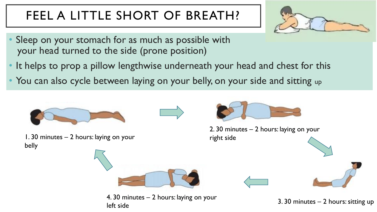## FEEL A LITTLE SHORT OF BREATH?



- Sleep on your stomach for as much as possible with your head turned to the side (prone position)
- It helps to prop a pillow lengthwise underneath your head and chest for this
- You can also cycle between laying on your belly, on your side and sitting up

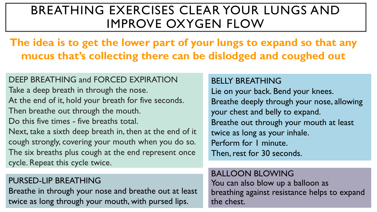#### BREATHING EXERCISES CLEAR YOUR LUNGS AND IMPROVE OXYGEN FLOW

#### **The idea is to get the lower part of your lungs to expand so that any mucus that's collecting there can be dislodged and coughed out**

DEEP BREATHING and FORCED EXPIRATION Take a deep breath in through the nose. At the end of it, hold your breath for five seconds. Then breathe out through the mouth. Do this five times - five breaths total. Next, take a sixth deep breath in, then at the end of it cough strongly, covering your mouth when you do so. The six breaths plus cough at the end represent once cycle. Repeat this cycle twice.

#### PURSED-LIP BREATHING

Breathe in through your nose and breathe out at least twice as long through your mouth, with pursed lips.

#### BELLY BREATHING

Lie on your back. Bend your knees. Breathe deeply through your nose, allowing your chest and belly to expand. Breathe out through your mouth at least twice as long as your inhale. Perform for 1 minute. Then, rest for 30 seconds.

#### BALLOON BLOWING

You can also blow up a balloon as breathing against resistance helps to expand the chest.